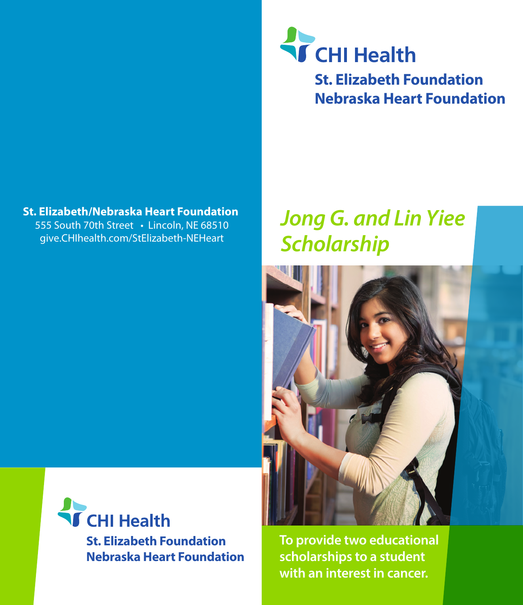### **St. Elizabeth/Nebraska Heart Foundation**

555 South 70th Street • Lincoln, NE 68510 [give.CHIhealth](https://www.chihealth.com/st-elizabeth/patients-and-visitors/foundation.html).com/StElizabeth-NEHeart

# **T** CHI Health

**St. Elizabeth Foundation Nebraska Heart Foundation**

### *Jong G. and Lin Yiee Scholarship*





**To provide two educational scholarships to a student with an interest in cancer.**